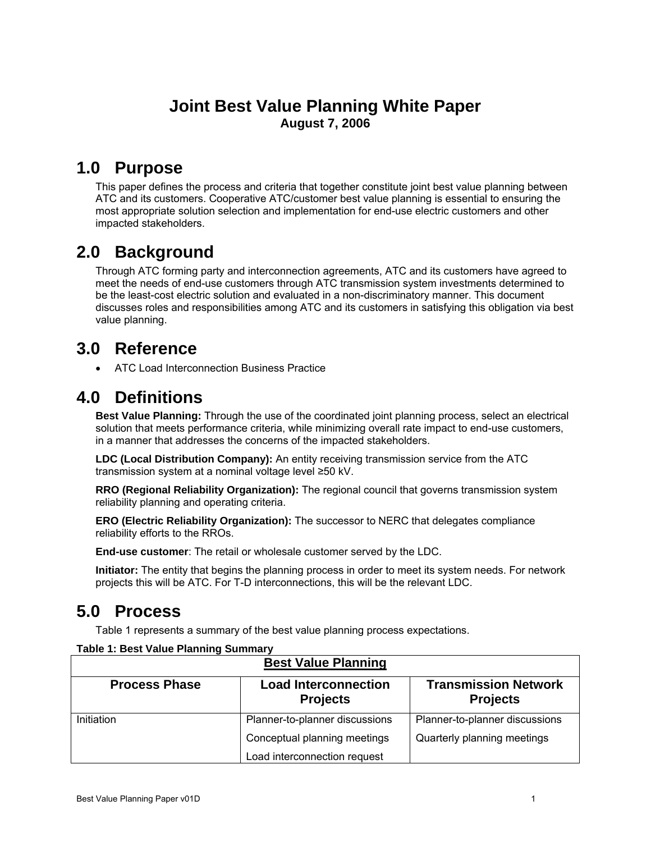# **Joint Best Value Planning White Paper<br>August 7, 2006**

## **1.0 Purpose**

This paper defines the process and criteria that together constitute joint best value planning between ATC and its customers. Cooperative ATC/customer best value planning is essential to ensuring the most appropriate solution selection and implementation for end-use electric customers and other impacted stakeholders.

# **2.0 Background**

Through ATC forming party and interconnection agreements, ATC and its customers have agreed to meet the needs of end-use customers through ATC transmission system investments determined to be the least-cost electric solution and evaluated in a non-discriminatory manner. This document discusses roles and responsibilities among ATC and its customers in satisfying this obligation via best value planning.

# **3.0 Reference**

• ATC Load Interconnection Business Practice

# **4.0 Definitions**

**Best Value Planning:** Through the use of the coordinated joint planning process, select an electrical solution that meets performance criteria, while minimizing overall rate impact to end-use customers, in a manner that addresses the concerns of the impacted stakeholders.

**LDC (Local Distribution Company):** An entity receiving transmission service from the ATC transmission system at a nominal voltage level ≥50 kV.

**RRO (Regional Reliability Organization):** The regional council that governs transmission system reliability planning and operating criteria.

**ERO (Electric Reliability Organization):** The successor to NERC that delegates compliance reliability efforts to the RROs.

**End-use customer**: The retail or wholesale customer served by the LDC.

**Initiator:** The entity that begins the planning process in order to meet its system needs. For network projects this will be ATC. For T-D interconnections, this will be the relevant LDC.

# **5.0 Process**

[Table 1](#page-0-0) represents a summary of the best value planning process expectations.

| <b>Best Value Planning</b> |                                                |                                                |  |  |  |  |  |
|----------------------------|------------------------------------------------|------------------------------------------------|--|--|--|--|--|
| <b>Process Phase</b>       | <b>Load Interconnection</b><br><b>Projects</b> | <b>Transmission Network</b><br><b>Projects</b> |  |  |  |  |  |
| Initiation                 | Planner-to-planner discussions                 | Planner-to-planner discussions                 |  |  |  |  |  |
|                            | Conceptual planning meetings                   | Quarterly planning meetings                    |  |  |  |  |  |
|                            | Load interconnection request                   |                                                |  |  |  |  |  |

#### <span id="page-0-0"></span>**Table 1: Best Value Planning Summary**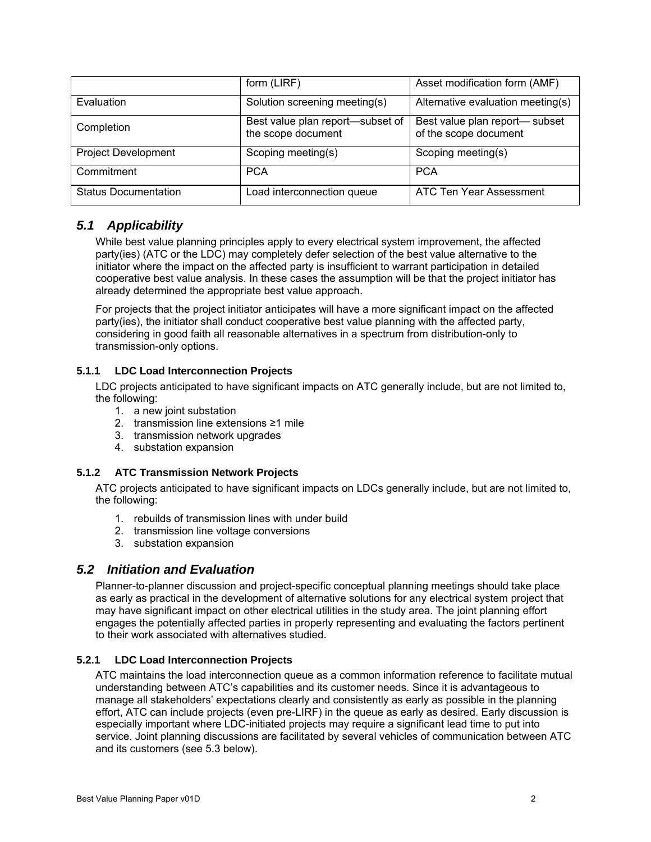|                             | form (LIRF)                                                        | Asset modification form (AMF)                          |  |  |
|-----------------------------|--------------------------------------------------------------------|--------------------------------------------------------|--|--|
| Evaluation                  | Solution screening meeting(s)<br>Alternative evaluation meeting(s) |                                                        |  |  |
| Completion                  | Best value plan report-subset of<br>the scope document             | Best value plan report-subset<br>of the scope document |  |  |
| <b>Project Development</b>  | Scoping meeting(s)                                                 | Scoping meeting(s)                                     |  |  |
| Commitment                  | <b>PCA</b>                                                         | <b>PCA</b>                                             |  |  |
| <b>Status Documentation</b> | Load interconnection queue                                         | ATC Ten Year Assessment                                |  |  |

### *5.1 Applicability*

While best value planning principles apply to every electrical system improvement, the affected party(ies) (ATC or the LDC) may completely defer selection of the best value alternative to the initiator where the impact on the affected party is insufficient to warrant participation in detailed cooperative best value analysis. In these cases the assumption will be that the project initiator has already determined the appropriate best value approach.

For projects that the project initiator anticipates will have a more significant impact on the affected party(ies), the initiator shall conduct cooperative best value planning with the affected party, considering in good faith all reasonable alternatives in a spectrum from distribution-only to transmission-only options.

### **5.1.1 LDC Load Interconnection Projects**

LDC projects anticipated to have significant impacts on ATC generally include, but are not limited to, the following:

- 1. a new joint substation
- 2. transmission line extensions ≥1 mile
- 3. transmission network upgrades
- 4. substation expansion

#### **5.1.2 ATC Transmission Network Projects**

ATC projects anticipated to have significant impacts on LDCs generally include, but are not limited to, the following:

- 1. rebuilds of transmission lines with under build
- 2. transmission line voltage conversions
- 3. substation expansion

### *5.2 Initiation and Evaluation*

Planner-to-planner discussion and project-specific conceptual planning meetings should take place as early as practical in the development of alternative solutions for any electrical system project that may have significant impact on other electrical utilities in the study area. The joint planning effort engages the potentially affected parties in properly representing and evaluating the factors pertinent to their work associated with alternatives studied.

#### **5.2.1 LDC Load Interconnection Projects**

ATC maintains the load interconnection queue as a common information reference to facilitate mutual understanding between ATC's capabilities and its customer needs. Since it is advantageous to manage all stakeholders' expectations clearly and consistently as early as possible in the planning effort, ATC can include projects (even pre-LIRF) in the queue as early as desired. Early discussion is especially important where LDC-initiated projects may require a significant lead time to put into service. Joint planning discussions are facilitated by several vehicles of communication between ATC and its customers (see 5.3 below).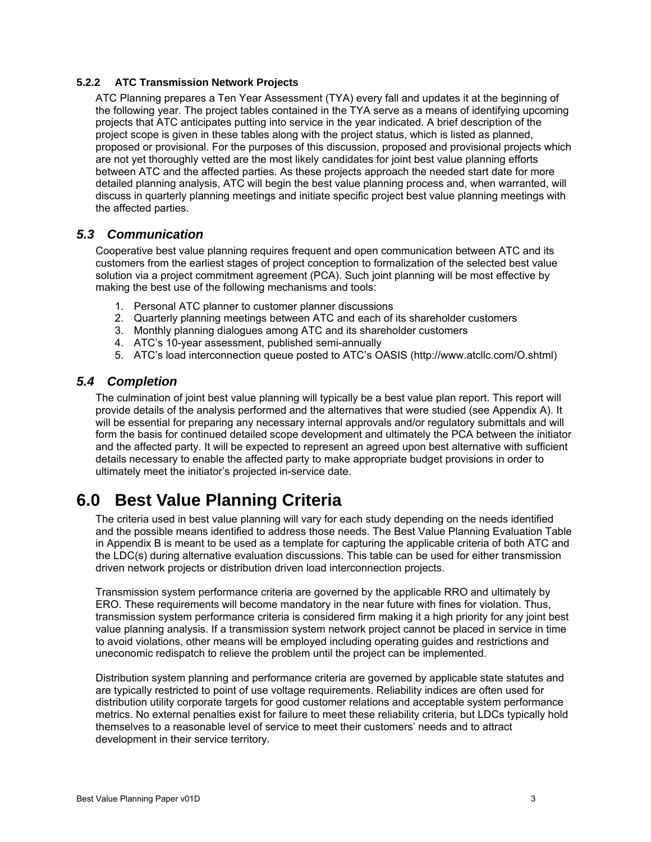#### **5.2.2 ATC Transmission Network Projects**

ATC Planning prepares a Ten Year Assessment (TYA) every fall and updates it at the beginning of the following year. The project tables contained in the TYA serve as a means of identifying upcoming projects that ATC anticipates putting into service in the year indicated. A brief description of the project scope is given in these tables along with the project status, which is listed as planned, proposed or provisional. For the purposes of this discussion, proposed and provisional projects which are not yet thoroughly vetted are the most likely candidates for joint best value planning efforts between ATC and the affected parties. As these projects approach the needed start date for more detailed planning analysis, ATC will begin the best value planning process and, when warranted, will discuss in quarterly planning meetings and initiate specific project best value planning meetings with the affected parties.

### *5.3 Communication*

Cooperative best value planning requires frequent and open communication between ATC and its customers from the earliest stages of project conception to formalization of the selected best value solution via a project commitment agreement (PCA). Such joint planning will be most effective by making the best use of the following mechanisms and tools:

- 1. Personal ATC planner to customer planner discussions
- 2. Quarterly planning meetings between ATC and each of its shareholder customers
- 3. Monthly planning dialogues among ATC and its shareholder customers
- 4. ATC's 10-year assessment, published semi-annually
- 5. ATC's load interconnection queue posted to ATC's OASIS (http://www.atcllc.com/O.shtml)

### *5.4 Completion*

The culmination of joint best value planning will typically be a best value plan report. This report will provide details of the analysis performed and the alternatives that were studied (see Appendix A). It will be essential for preparing any necessary internal approvals and/or regulatory submittals and will form the basis for continued detailed scope development and ultimately the PCA between the initiator and the affected party. It will be expected to represent an agreed upon best alternative with sufficient details necessary to enable the affected party to make appropriate budget provisions in order to ultimately meet the initiator's projected in-service date.

# **6.0 Best Value Planning Criteria**

The criteria used in best value planning will vary for each study depending on the needs identified and the possible means identified to address those needs. The Best Value Planning Evaluation Table in Appendix B is meant to be used as a template for capturing the applicable criteria of both ATC and the LDC(s) during alternative evaluation discussions. This table can be used for either transmission driven network projects or distribution driven load interconnection projects.

Transmission system performance criteria are governed by the applicable RRO and ultimately by ERO. These requirements will become mandatory in the near future with fines for violation. Thus, transmission system performance criteria is considered firm making it a high priority for any joint best value planning analysis. If a transmission system network project cannot be placed in service in time to avoid violations, other means will be employed including operating guides and restrictions and uneconomic redispatch to relieve the problem until the project can be implemented.

Distribution system planning and performance criteria are governed by applicable state statutes and are typically restricted to point of use voltage requirements. Reliability indices are often used for distribution utility corporate targets for good customer relations and acceptable system performance metrics. No external penalties exist for failure to meet these reliability criteria, but LDCs typically hold themselves to a reasonable level of service to meet their customers' needs and to attract development in their service territory.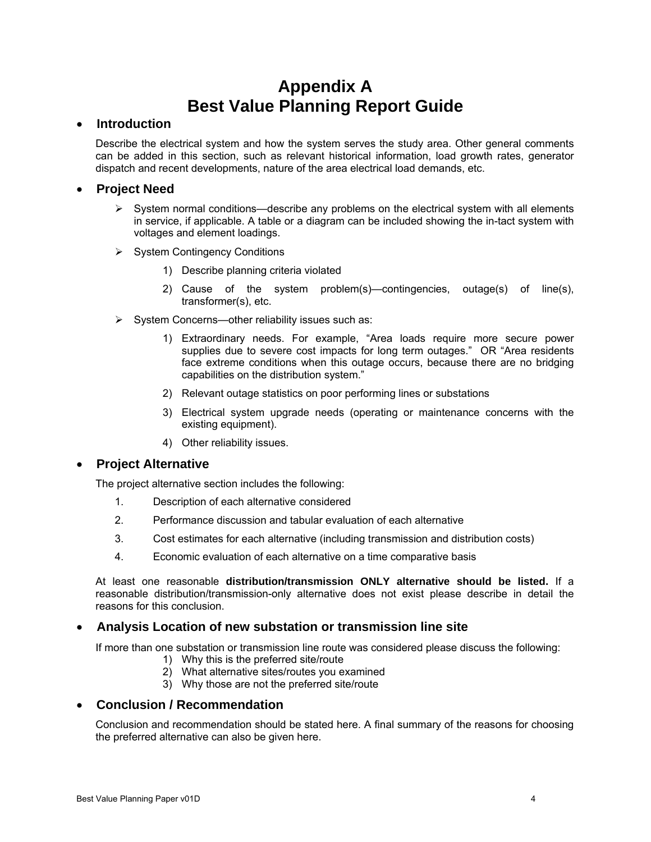# **Appendix A Best Value Planning Report Guide**

#### • **Introduction**

Describe the electrical system and how the system serves the study area. Other general comments can be added in this section, such as relevant historical information, load growth rates, generator dispatch and recent developments, nature of the area electrical load demands, etc.

### • **Project Need**

- $\triangleright$  System normal conditions—describe any problems on the electrical system with all elements in service, if applicable. A table or a diagram can be included showing the in-tact system with voltages and element loadings.
- ¾ System Contingency Conditions
	- 1) Describe planning criteria violated
	- 2) Cause of the system problem(s)—contingencies, outage(s) of line(s), transformer(s), etc.
- $\triangleright$  System Concerns—other reliability issues such as:
	- 1) Extraordinary needs. For example, "Area loads require more secure power supplies due to severe cost impacts for long term outages." OR "Area residents face extreme conditions when this outage occurs, because there are no bridging capabilities on the distribution system."
	- 2) Relevant outage statistics on poor performing lines or substations
	- 3) Electrical system upgrade needs (operating or maintenance concerns with the existing equipment).
	- 4) Other reliability issues.

### • **Project Alternative**

The project alternative section includes the following:

- 1. Description of each alternative considered
- 2. Performance discussion and tabular evaluation of each alternative
- 3. Cost estimates for each alternative (including transmission and distribution costs)
- 4. Economic evaluation of each alternative on a time comparative basis

At least one reasonable **distribution/transmission ONLY alternative should be listed.** If a reasonable distribution/transmission-only alternative does not exist please describe in detail the reasons for this conclusion.

### • **Analysis Location of new substation or transmission line site**

If more than one substation or transmission line route was considered please discuss the following:

- 1) Why this is the preferred site/route
- 2) What alternative sites/routes you examined
- 3) Why those are not the preferred site/route

#### • **Conclusion / Recommendation**

Conclusion and recommendation should be stated here. A final summary of the reasons for choosing the preferred alternative can also be given here.